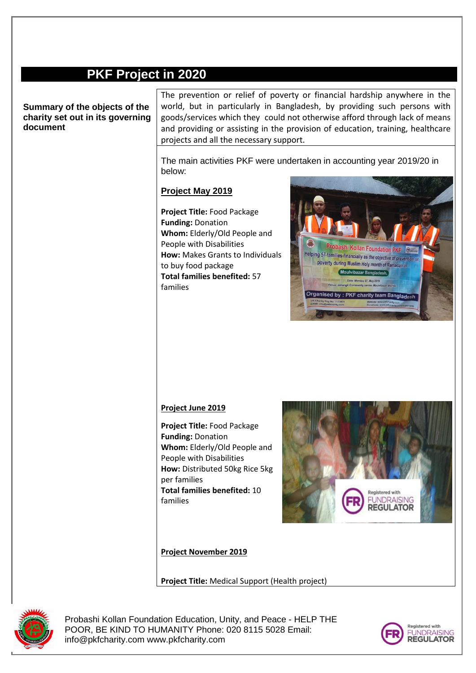## **PKF Project in 2020**

**Summary of the objects of the charity set out in its governing document**

The prevention or relief of poverty or financial hardship anywhere in the world, but in particularly in Bangladesh, by providing such persons with goods/services which they could not otherwise afford through lack of means and providing or assisting in the provision of education, training, healthcare projects and all the necessary support.

The main activities PKF were undertaken in accounting year 2019/20 in below:

## **Project May 2019**

**Project Title:** Food Package **Funding:** Donation **Whom:** Elderly/Old People and People with Disabilities **How:** Makes Grants to Individuals to buy food package **Total families benefited:** 57 families



## **Project June 2019**

**Project Title:** Food Package **Funding:** Donation **Whom:** Elderly/Old People and People with Disabilities **How:** Distributed 50kg Rice 5kg per families **Total families benefited:** 10 families



**Project November 2019**

**Project Title:** Medical Support (Health project)



Probashi Kollan Foundation Education, Unity, and Peace - HELP THE POOR, BE KIND TO HUMANITY Phone: 020 8115 5028 Email: info@pkfcharity.com www.pkfcharity.com